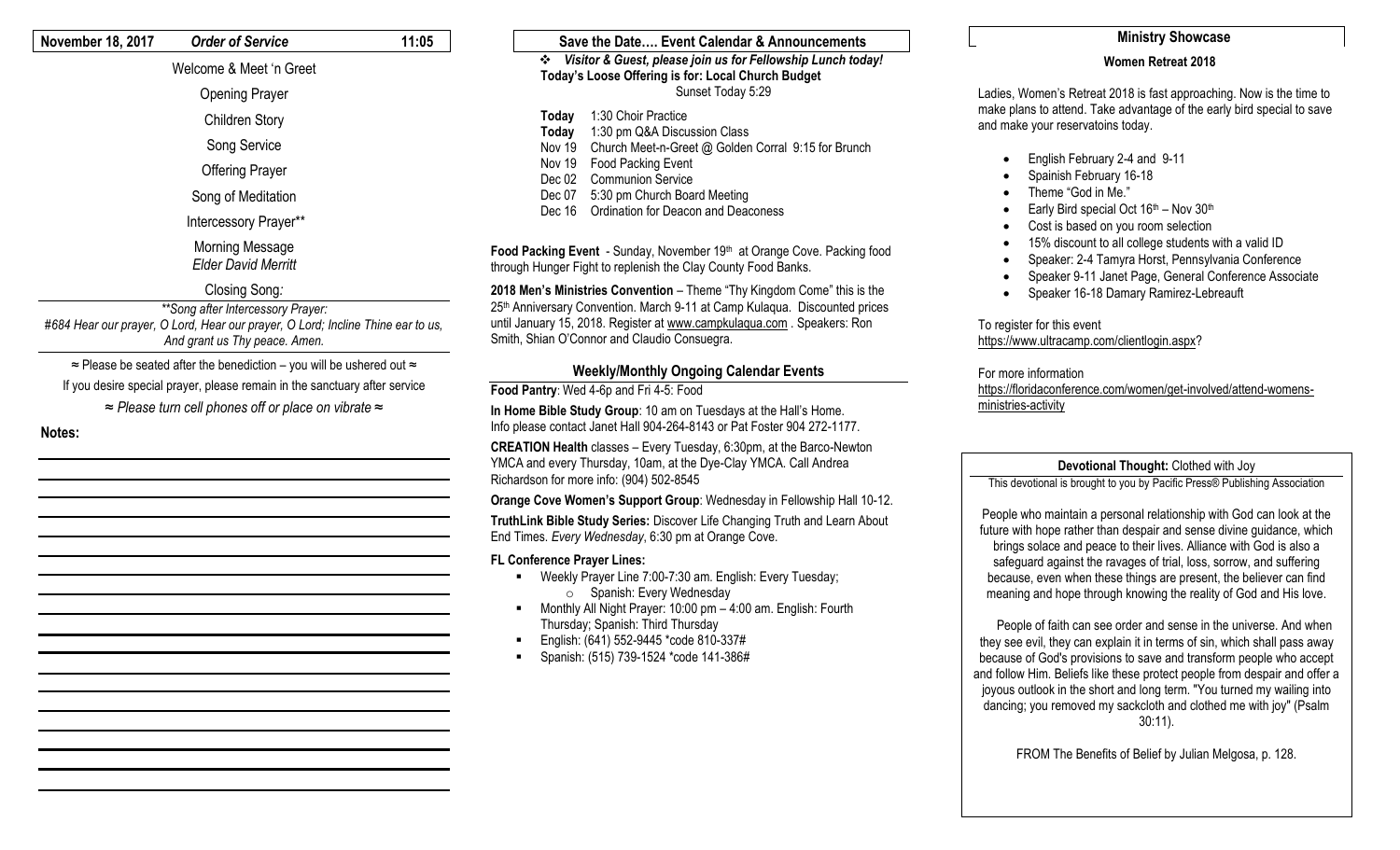### **November 18, 2017** *Order of Service* **11:05**

### Welcome & Meet 'n Greet

- Opening Prayer Children Story
- Song Service
- Offering Prayer
- Song of Meditation
- Intercessory Prayer\*\*
- Morning Message *Elder David Merritt*

### Closing Song*:*

*\*\*Song after Intercessory Prayer: #684 Hear our prayer, O Lord, Hear our prayer, O Lord; Incline Thine ear to us, And grant us Thy peace. Amen.* 

≈ Please be seated after the benediction – you will be ushered out ≈

- If you desire special prayer, please remain in the sanctuary after service
	- *≈ Please turn cell phones off or place on vibrate ≈*
- **Notes:**

### **Save the Date…. Event Calendar & Announcements** *Visitor & Guest, please join us for Fellowship Lunch today!* **Today's Loose Offering is for: Local Church Budget** Sunset Today 5:29 **Today** 1:30 Choir Practice

- **Today** 1:30 pm Q&A Discussion Class
- Nov 19 Church Meet-n-Greet @ Golden Corral 9:15 for Brunch
- Nov 19 Food Packing Event
- Dec 02 Communion Service
- Dec 07 5:30 pm Church Board Meeting
- Dec 16 Ordination for Deacon and Deaconess

Food Packing Event - Sunday, November 19<sup>th</sup> at Orange Cove. Packing food through Hunger Fight to replenish the Clay County Food Banks.

**2018 Men's Ministries Convention** – Theme "Thy Kingdom Come" this is the 25th Anniversary Convention. March 9-11 at Camp Kulaqua. Discounted prices until January 15, 2018. Register a[t www.campkulaqua.com](http://www.campkulaqua.com/) . Speakers: Ron Smith, Shian O'Connor and Claudio Consuegra.

## **Weekly/Monthly Ongoing Calendar Events**

**Food Pantry**: Wed 4-6p and Fri 4-5: Food

**In Home Bible Study Group**: 10 am on Tuesdays at the Hall's Home. Info please contact Janet Hall 904-264-8143 or Pat Foster 904 272-1177.

**CREATION Health** classes – Every Tuesday, 6:30pm, at the Barco-Newton YMCA and every Thursday, 10am, at the Dye-Clay YMCA. Call Andrea Richardson for more info: (904) 502-8545

**Orange Cove Women's Support Group**: Wednesday in Fellowship Hall 10-12.

**TruthLink Bible Study Series:** Discover Life Changing Truth and Learn About End Times. *Every Wednesday*, 6:30 pm at Orange Cove.

### **FL Conference Prayer Lines:**

- Weekly Prayer Line 7:00-7:30 am. English: Every Tuesday; o Spanish: Every Wednesday
- Monthly All Night Prayer: 10:00 pm 4:00 am. English: Fourth Thursday; Spanish: Third Thursday
- English: (641) 552-9445 \*code 810-337#
- Spanish: (515) 739-1524 \*code 141-386#

### **Ministry Showcase**

### **Women Retreat 2018**

Ladies, Women's Retreat 2018 is fast approaching. Now is the time to make plans to attend. Take advantage of the early bird special to save and make your reservatoins today.

- English February 2-4 and 9-11
- Spainish February 16-18
- Theme "God in Me."
- Early Bird special Oct  $16<sup>th</sup>$  Nov  $30<sup>th</sup>$
- Cost is based on you room selection
- 15% discount to all college students with a valid ID
- Speaker: 2-4 Tamyra Horst, Pennsylvania Conference
- Speaker 9-11 Janet Page, General Conference Associate
- Speaker 16-18 Damary Ramirez-Lebreauft

# To register for this event

### [https://www.ultracamp.com/clientlogin.aspx?](https://www.ultracamp.com/clientlogin.aspx)

### For more information

[https://floridaconference.com/women/get-involved/attend-womens](https://floridaconference.com/women/get-involved/attend-womens-ministries-activity)[ministries-activity](https://floridaconference.com/women/get-involved/attend-womens-ministries-activity)

### **Devotional Thought:** Clothed with Joy

This devotional is brought to you by Pacific Press® Publishing Association

People who maintain a personal relationship with God can look at the future with hope rather than despair and sense divine guidance, which brings solace and peace to their lives. Alliance with God is also a safeguard against the ravages of trial, loss, sorrow, and suffering because, even when these things are present, the believer can find meaning and hope through knowing the reality of God and His love.

 People of faith can see order and sense in the universe. And when they see evil, they can explain it in terms of sin, which shall pass away because of God's provisions to save and transform people who accept and follow Him. Beliefs like these protect people from despair and offer a joyous outlook in the short and long term. "You turned my wailing into dancing; you removed my sackcloth and clothed me with joy" (Psalm 30:11).

FROM The Benefits of Belief by Julian Melgosa, p. 128.